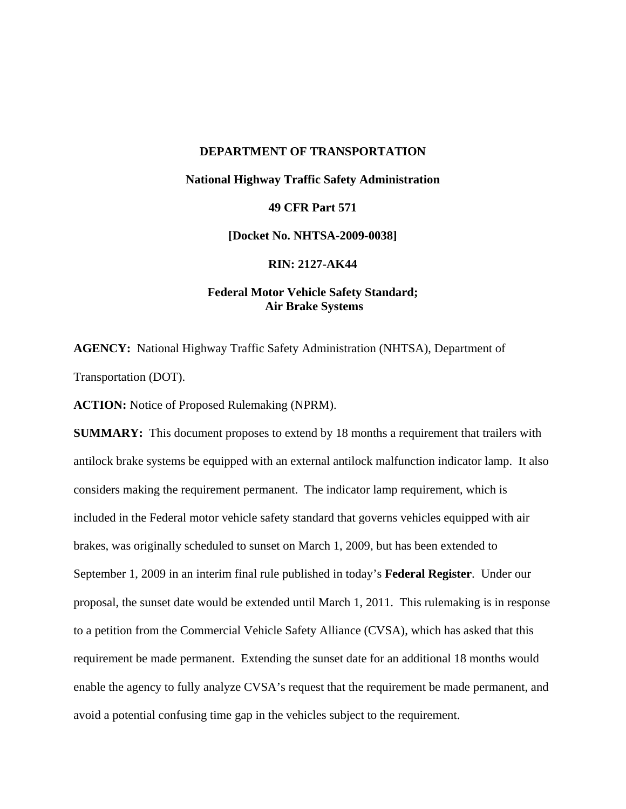# **DEPARTMENT OF TRANSPORTATION National Highway Traffic Safety Administration 49 CFR Part 571 [Docket No. NHTSA-2009-0038]**

**RIN: 2127-AK44** 

# **Federal Motor Vehicle Safety Standard; Air Brake Systems**

**AGENCY:** National Highway Traffic Safety Administration (NHTSA), Department of Transportation (DOT).

**ACTION:** Notice of Proposed Rulemaking (NPRM).

**SUMMARY:** This document proposes to extend by 18 months a requirement that trailers with antilock brake systems be equipped with an external antilock malfunction indicator lamp. It also considers making the requirement permanent. The indicator lamp requirement, which is included in the Federal motor vehicle safety standard that governs vehicles equipped with air brakes, was originally scheduled to sunset on March 1, 2009, but has been extended to September 1, 2009 in an interim final rule published in today's **Federal Register**. Under our proposal, the sunset date would be extended until March 1, 2011. This rulemaking is in response to a petition from the Commercial Vehicle Safety Alliance (CVSA), which has asked that this requirement be made permanent. Extending the sunset date for an additional 18 months would enable the agency to fully analyze CVSA's request that the requirement be made permanent, and avoid a potential confusing time gap in the vehicles subject to the requirement.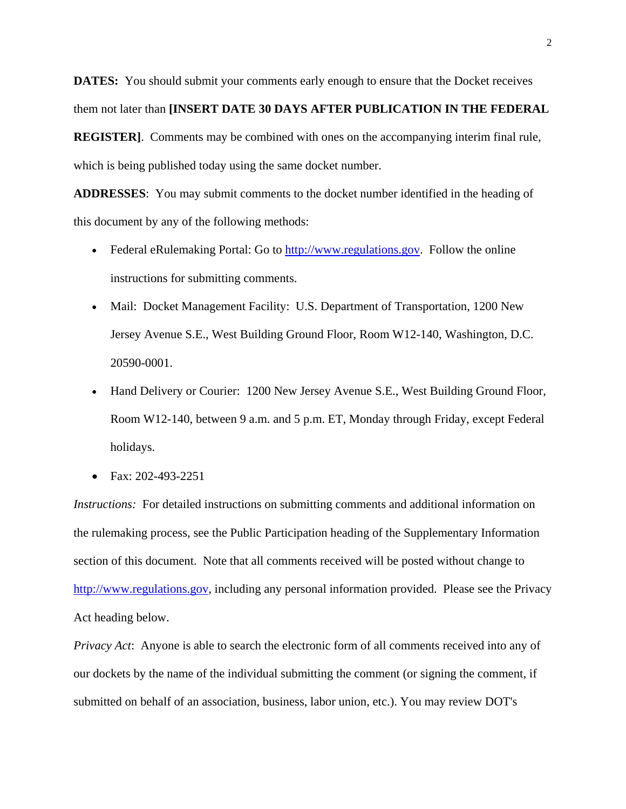**DATES:** You should submit your comments early enough to ensure that the Docket receives them not later than **[INSERT DATE 30 DAYS AFTER PUBLICATION IN THE FEDERAL REGISTER]**. Comments may be combined with ones on the accompanying interim final rule, which is being published today using the same docket number.

**ADDRESSES**: You may submit comments to the docket number identified in the heading of this document by any of the following methods:

- Federal eRulemaking Portal: Go to http://www.regulations.gov. Follow the online instructions for submitting comments.
- Mail: Docket Management Facility: U.S. Department of Transportation, 1200 New Jersey Avenue S.E., West Building Ground Floor, Room W12-140, Washington, D.C. 20590-0001.
- Hand Delivery or Courier: 1200 New Jersey Avenue S.E., West Building Ground Floor, Room W12-140, between 9 a.m. and 5 p.m. ET, Monday through Friday, except Federal holidays.
- Fax: 202-493-2251

*Instructions:* For detailed instructions on submitting comments and additional information on the rulemaking process, see the Public Participation heading of the Supplementary Information section of this document. Note that all comments received will be posted without change to http://www.regulations.gov, including any personal information provided. Please see the Privacy Act heading below.

*Privacy Act*: Anyone is able to search the electronic form of all comments received into any of our dockets by the name of the individual submitting the comment (or signing the comment, if submitted on behalf of an association, business, labor union, etc.). You may review DOT's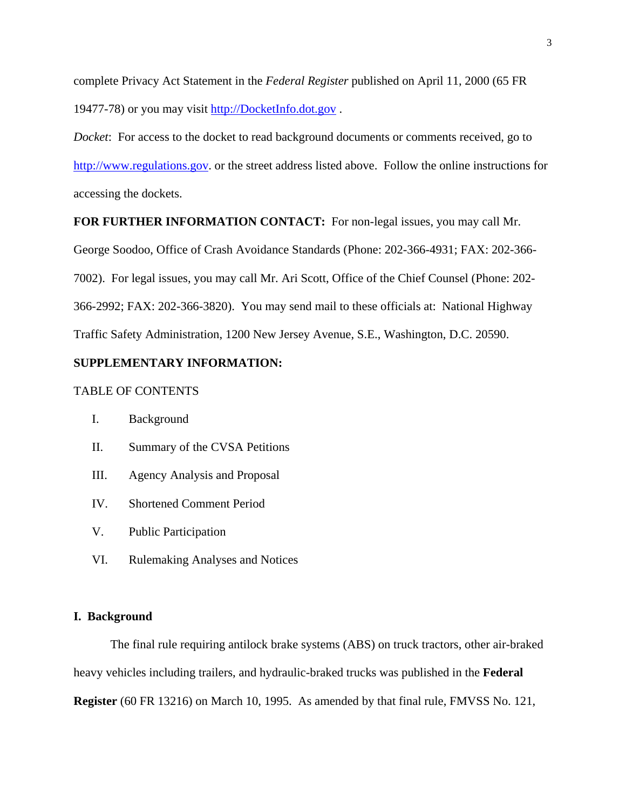complete Privacy Act Statement in the *Federal Register* published on April 11, 2000 (65 FR 19477-78) or you may visit http://DocketInfo.dot.gov .

*Docket*: For access to the docket to read background documents or comments received, go to http://www.regulations.gov. or the street address listed above. Follow the online instructions for accessing the dockets.

# **FOR FURTHER INFORMATION CONTACT:** For non-legal issues, you may call Mr.

George Soodoo, Office of Crash Avoidance Standards (Phone: 202-366-4931; FAX: 202-366- 7002). For legal issues, you may call Mr. Ari Scott, Office of the Chief Counsel (Phone: 202- 366-2992; FAX: 202-366-3820). You may send mail to these officials at: National Highway Traffic Safety Administration, 1200 New Jersey Avenue, S.E., Washington, D.C. 20590.

# **SUPPLEMENTARY INFORMATION:**

# TABLE OF CONTENTS

- II. Summary of the CVSA Petitions
- III. Agency Analysis and Proposal
- IV. Shortened Comment Period
- V. Public Participation
- VI. Rulemaking Analyses and Notices

# **I. Background**

The final rule requiring antilock brake systems (ABS) on truck tractors, other air-braked heavy vehicles including trailers, and hydraulic-braked trucks was published in the **Federal Register** (60 FR 13216) on March 10, 1995. As amended by that final rule, FMVSS No. 121,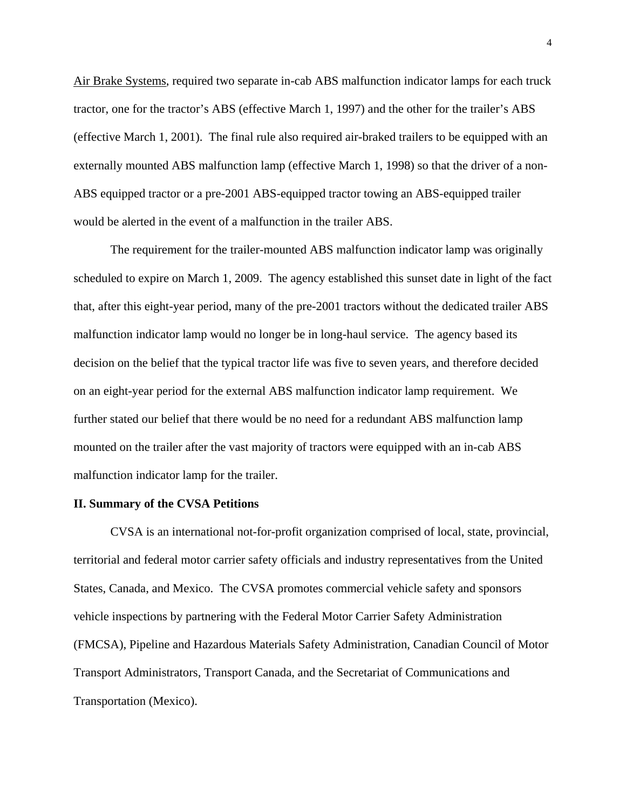Air Brake Systems, required two separate in-cab ABS malfunction indicator lamps for each truck tractor, one for the tractor's ABS (effective March 1, 1997) and the other for the trailer's ABS (effective March 1, 2001). The final rule also required air-braked trailers to be equipped with an externally mounted ABS malfunction lamp (effective March 1, 1998) so that the driver of a non-ABS equipped tractor or a pre-2001 ABS-equipped tractor towing an ABS-equipped trailer would be alerted in the event of a malfunction in the trailer ABS.

The requirement for the trailer-mounted ABS malfunction indicator lamp was originally scheduled to expire on March 1, 2009. The agency established this sunset date in light of the fact that, after this eight-year period, many of the pre-2001 tractors without the dedicated trailer ABS malfunction indicator lamp would no longer be in long-haul service. The agency based its decision on the belief that the typical tractor life was five to seven years, and therefore decided on an eight-year period for the external ABS malfunction indicator lamp requirement. We further stated our belief that there would be no need for a redundant ABS malfunction lamp mounted on the trailer after the vast majority of tractors were equipped with an in-cab ABS malfunction indicator lamp for the trailer.

### **II. Summary of the CVSA Petitions**

CVSA is an international not-for-profit organization comprised of local, state, provincial, territorial and federal motor carrier safety officials and industry representatives from the United States, Canada, and Mexico. The CVSA promotes commercial vehicle safety and sponsors vehicle inspections by partnering with the Federal Motor Carrier Safety Administration (FMCSA), Pipeline and Hazardous Materials Safety Administration, Canadian Council of Motor Transport Administrators, Transport Canada, and the Secretariat of Communications and Transportation (Mexico).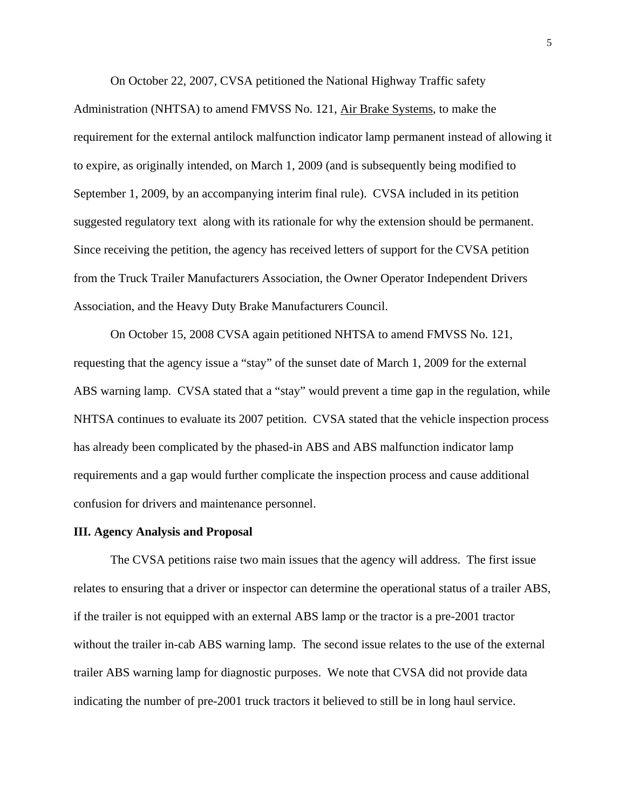On October 22, 2007, CVSA petitioned the National Highway Traffic safety

Administration (NHTSA) to amend FMVSS No. 121, Air Brake Systems, to make the requirement for the external antilock malfunction indicator lamp permanent instead of allowing it to expire, as originally intended, on March 1, 2009 (and is subsequently being modified to September 1, 2009, by an accompanying interim final rule). CVSA included in its petition suggested regulatory text along with its rationale for why the extension should be permanent. Since receiving the petition, the agency has received letters of support for the CVSA petition from the Truck Trailer Manufacturers Association, the Owner Operator Independent Drivers Association, and the Heavy Duty Brake Manufacturers Council.

On October 15, 2008 CVSA again petitioned NHTSA to amend FMVSS No. 121, requesting that the agency issue a "stay" of the sunset date of March 1, 2009 for the external ABS warning lamp. CVSA stated that a "stay" would prevent a time gap in the regulation, while NHTSA continues to evaluate its 2007 petition. CVSA stated that the vehicle inspection process has already been complicated by the phased-in ABS and ABS malfunction indicator lamp requirements and a gap would further complicate the inspection process and cause additional confusion for drivers and maintenance personnel.

#### **III. Agency Analysis and Proposal**

The CVSA petitions raise two main issues that the agency will address. The first issue relates to ensuring that a driver or inspector can determine the operational status of a trailer ABS, if the trailer is not equipped with an external ABS lamp or the tractor is a pre-2001 tractor without the trailer in-cab ABS warning lamp. The second issue relates to the use of the external trailer ABS warning lamp for diagnostic purposes. We note that CVSA did not provide data indicating the number of pre-2001 truck tractors it believed to still be in long haul service.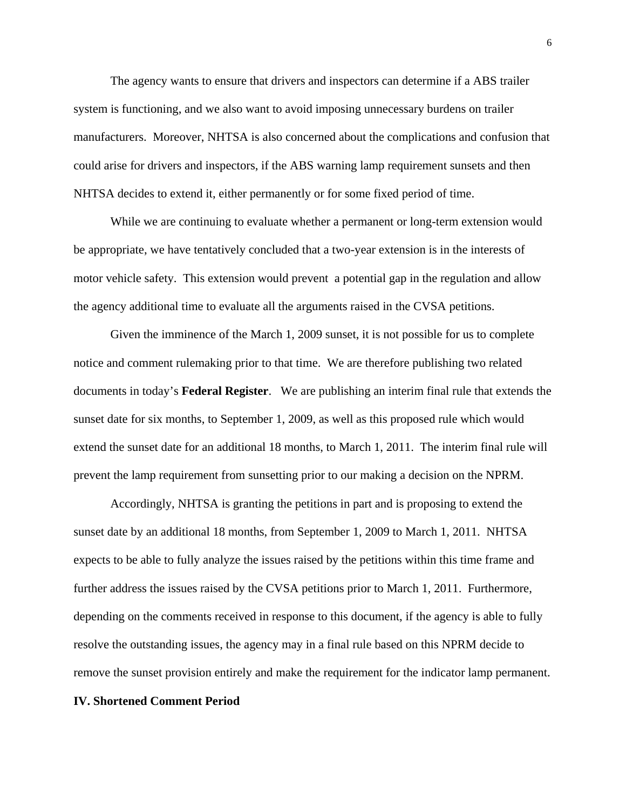The agency wants to ensure that drivers and inspectors can determine if a ABS trailer system is functioning, and we also want to avoid imposing unnecessary burdens on trailer manufacturers. Moreover, NHTSA is also concerned about the complications and confusion that could arise for drivers and inspectors, if the ABS warning lamp requirement sunsets and then NHTSA decides to extend it, either permanently or for some fixed period of time.

While we are continuing to evaluate whether a permanent or long-term extension would be appropriate, we have tentatively concluded that a two-year extension is in the interests of motor vehicle safety. This extension would prevent a potential gap in the regulation and allow the agency additional time to evaluate all the arguments raised in the CVSA petitions.

Given the imminence of the March 1, 2009 sunset, it is not possible for us to complete notice and comment rulemaking prior to that time. We are therefore publishing two related documents in today's **Federal Register**. We are publishing an interim final rule that extends the sunset date for six months, to September 1, 2009, as well as this proposed rule which would extend the sunset date for an additional 18 months, to March 1, 2011. The interim final rule will prevent the lamp requirement from sunsetting prior to our making a decision on the NPRM.

Accordingly, NHTSA is granting the petitions in part and is proposing to extend the sunset date by an additional 18 months, from September 1, 2009 to March 1, 2011. NHTSA expects to be able to fully analyze the issues raised by the petitions within this time frame and further address the issues raised by the CVSA petitions prior to March 1, 2011. Furthermore, depending on the comments received in response to this document, if the agency is able to fully resolve the outstanding issues, the agency may in a final rule based on this NPRM decide to remove the sunset provision entirely and make the requirement for the indicator lamp permanent.

#### **IV. Shortened Comment Period**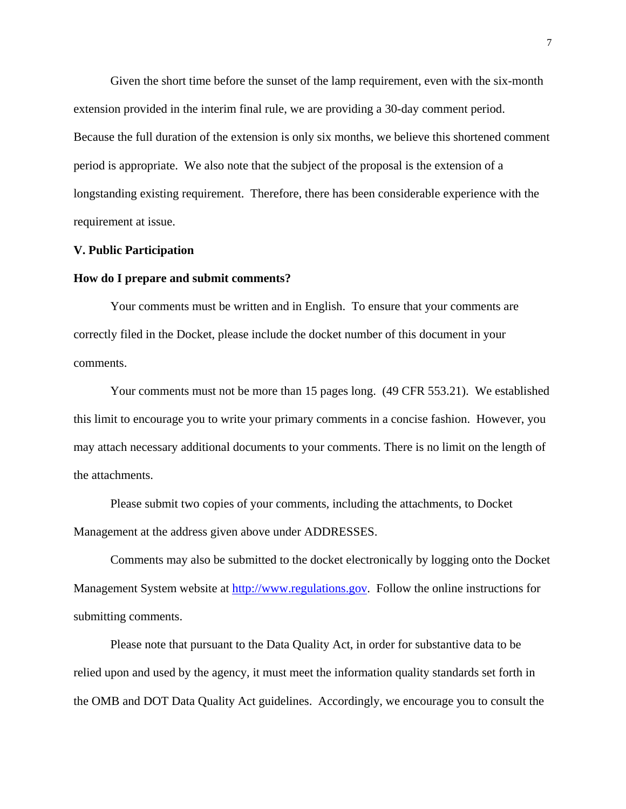Given the short time before the sunset of the lamp requirement, even with the six-month extension provided in the interim final rule, we are providing a 30-day comment period. Because the full duration of the extension is only six months, we believe this shortened comment period is appropriate. We also note that the subject of the proposal is the extension of a longstanding existing requirement. Therefore, there has been considerable experience with the requirement at issue.

#### **V. Public Participation**

#### **How do I prepare and submit comments?**

Your comments must be written and in English. To ensure that your comments are correctly filed in the Docket, please include the docket number of this document in your comments.

Your comments must not be more than 15 pages long. (49 CFR 553.21). We established this limit to encourage you to write your primary comments in a concise fashion. However, you may attach necessary additional documents to your comments. There is no limit on the length of the attachments.

Please submit two copies of your comments, including the attachments, to Docket Management at the address given above under ADDRESSES.

Comments may also be submitted to the docket electronically by logging onto the Docket Management System website at http://www.regulations.gov. Follow the online instructions for submitting comments.

Please note that pursuant to the Data Quality Act, in order for substantive data to be relied upon and used by the agency, it must meet the information quality standards set forth in the OMB and DOT Data Quality Act guidelines. Accordingly, we encourage you to consult the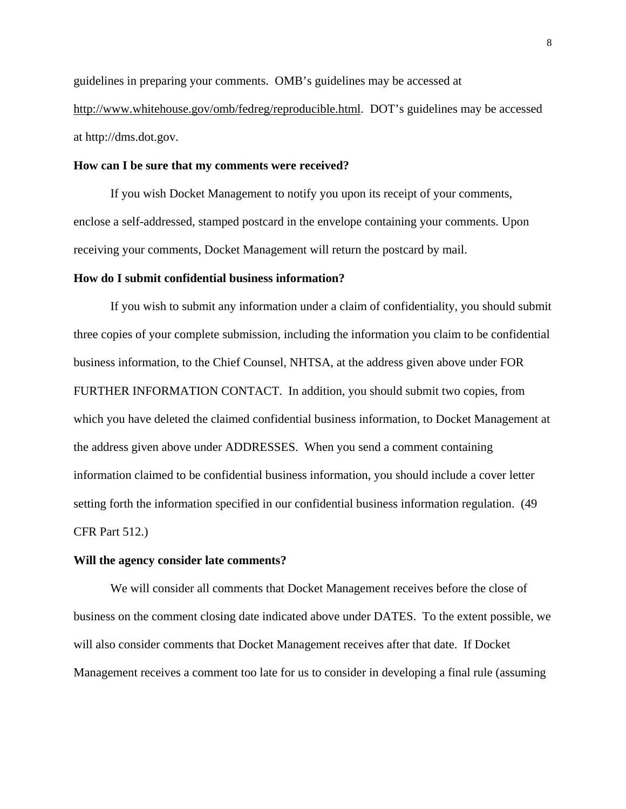guidelines in preparing your comments. OMB's guidelines may be accessed at http://www.whitehouse.gov/omb/fedreg/reproducible.html. DOT's guidelines may be accessed at http://dms.dot.gov.

# **How can I be sure that my comments were received?**

If you wish Docket Management to notify you upon its receipt of your comments, enclose a self-addressed, stamped postcard in the envelope containing your comments. Upon receiving your comments, Docket Management will return the postcard by mail.

## **How do I submit confidential business information?**

If you wish to submit any information under a claim of confidentiality, you should submit three copies of your complete submission, including the information you claim to be confidential business information, to the Chief Counsel, NHTSA, at the address given above under FOR FURTHER INFORMATION CONTACT. In addition, you should submit two copies, from which you have deleted the claimed confidential business information, to Docket Management at the address given above under ADDRESSES. When you send a comment containing information claimed to be confidential business information, you should include a cover letter setting forth the information specified in our confidential business information regulation. (49 CFR Part 512.)

#### **Will the agency consider late comments?**

We will consider all comments that Docket Management receives before the close of business on the comment closing date indicated above under DATES. To the extent possible, we will also consider comments that Docket Management receives after that date. If Docket Management receives a comment too late for us to consider in developing a final rule (assuming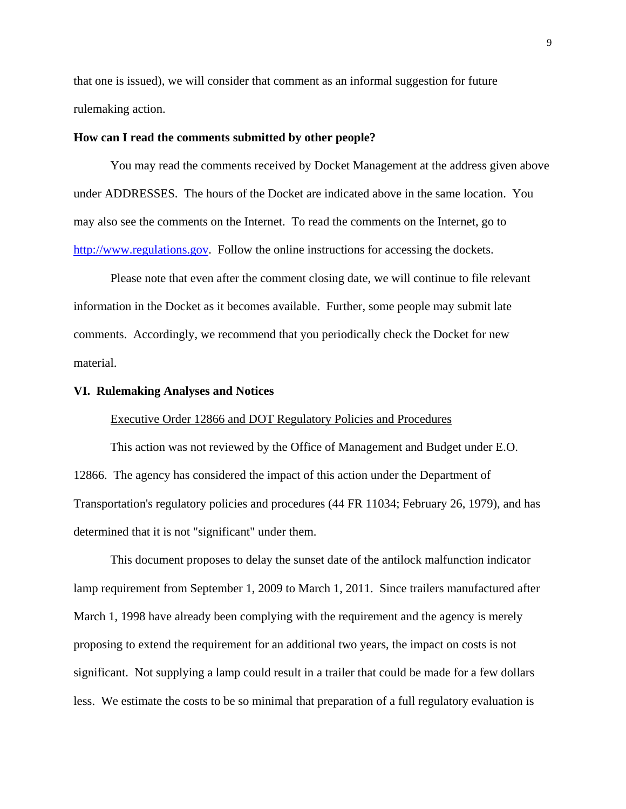that one is issued), we will consider that comment as an informal suggestion for future rulemaking action.

# **How can I read the comments submitted by other people?**

You may read the comments received by Docket Management at the address given above under ADDRESSES. The hours of the Docket are indicated above in the same location. You may also see the comments on the Internet. To read the comments on the Internet, go to http://www.regulations.gov. Follow the online instructions for accessing the dockets.

Please note that even after the comment closing date, we will continue to file relevant information in the Docket as it becomes available. Further, some people may submit late comments. Accordingly, we recommend that you periodically check the Docket for new material.

#### **VI. Rulemaking Analyses and Notices**

# Executive Order 12866 and DOT Regulatory Policies and Procedures

This action was not reviewed by the Office of Management and Budget under E.O. 12866. The agency has considered the impact of this action under the Department of Transportation's regulatory policies and procedures (44 FR 11034; February 26, 1979), and has determined that it is not "significant" under them.

This document proposes to delay the sunset date of the antilock malfunction indicator lamp requirement from September 1, 2009 to March 1, 2011. Since trailers manufactured after March 1, 1998 have already been complying with the requirement and the agency is merely proposing to extend the requirement for an additional two years, the impact on costs is not significant. Not supplying a lamp could result in a trailer that could be made for a few dollars less. We estimate the costs to be so minimal that preparation of a full regulatory evaluation is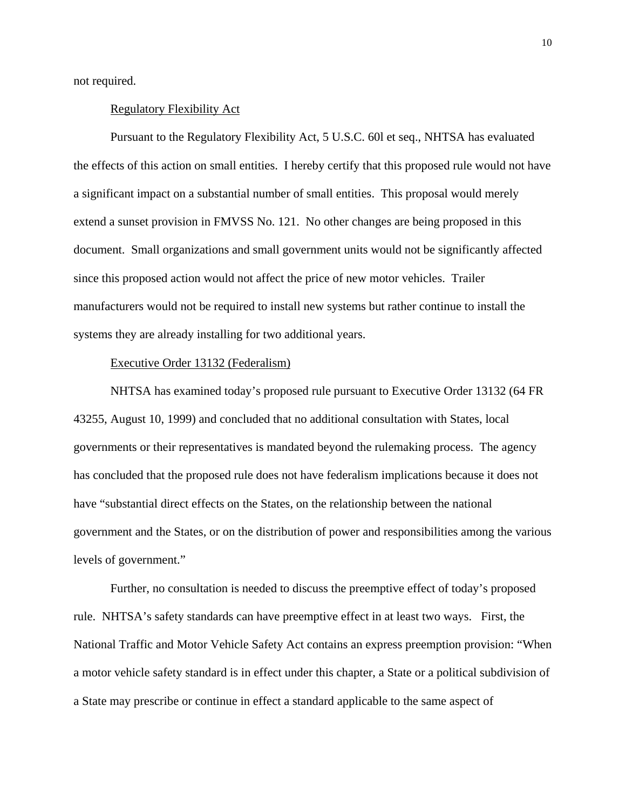not required.

# Regulatory Flexibility Act

Pursuant to the Regulatory Flexibility Act, 5 U.S.C. 60l et seq., NHTSA has evaluated the effects of this action on small entities. I hereby certify that this proposed rule would not have a significant impact on a substantial number of small entities. This proposal would merely extend a sunset provision in FMVSS No. 121. No other changes are being proposed in this document. Small organizations and small government units would not be significantly affected since this proposed action would not affect the price of new motor vehicles. Trailer manufacturers would not be required to install new systems but rather continue to install the systems they are already installing for two additional years.

# Executive Order 13132 (Federalism)

NHTSA has examined today's proposed rule pursuant to Executive Order 13132 (64 FR 43255, August 10, 1999) and concluded that no additional consultation with States, local governments or their representatives is mandated beyond the rulemaking process. The agency has concluded that the proposed rule does not have federalism implications because it does not have "substantial direct effects on the States, on the relationship between the national government and the States, or on the distribution of power and responsibilities among the various levels of government."

Further, no consultation is needed to discuss the preemptive effect of today's proposed rule. NHTSA's safety standards can have preemptive effect in at least two ways. First, the National Traffic and Motor Vehicle Safety Act contains an express preemption provision: "When a motor vehicle safety standard is in effect under this chapter, a State or a political subdivision of a State may prescribe or continue in effect a standard applicable to the same aspect of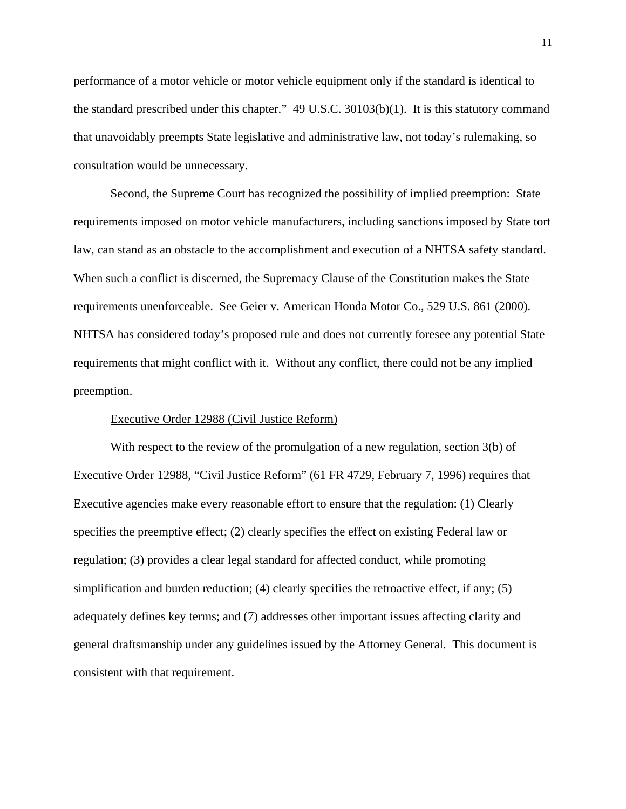performance of a motor vehicle or motor vehicle equipment only if the standard is identical to the standard prescribed under this chapter." 49 U.S.C. 30103(b)(1). It is this statutory command that unavoidably preempts State legislative and administrative law, not today's rulemaking, so consultation would be unnecessary.

Second, the Supreme Court has recognized the possibility of implied preemption: State requirements imposed on motor vehicle manufacturers, including sanctions imposed by State tort law, can stand as an obstacle to the accomplishment and execution of a NHTSA safety standard. When such a conflict is discerned, the Supremacy Clause of the Constitution makes the State requirements unenforceable. See Geier v. American Honda Motor Co., 529 U.S. 861 (2000). NHTSA has considered today's proposed rule and does not currently foresee any potential State requirements that might conflict with it. Without any conflict, there could not be any implied preemption.

# Executive Order 12988 (Civil Justice Reform)

With respect to the review of the promulgation of a new regulation, section 3(b) of Executive Order 12988, "Civil Justice Reform" (61 FR 4729, February 7, 1996) requires that Executive agencies make every reasonable effort to ensure that the regulation: (1) Clearly specifies the preemptive effect; (2) clearly specifies the effect on existing Federal law or regulation; (3) provides a clear legal standard for affected conduct, while promoting simplification and burden reduction; (4) clearly specifies the retroactive effect, if any; (5) adequately defines key terms; and (7) addresses other important issues affecting clarity and general draftsmanship under any guidelines issued by the Attorney General. This document is consistent with that requirement.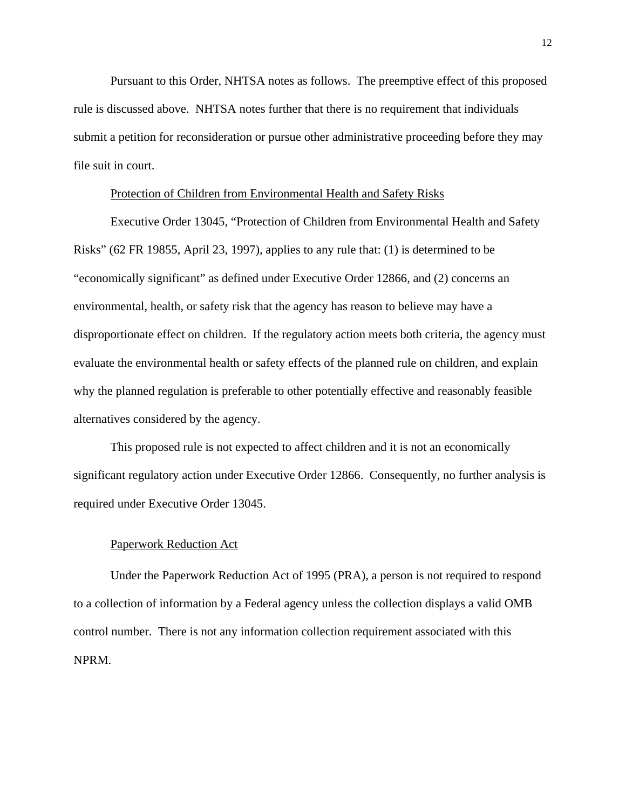Pursuant to this Order, NHTSA notes as follows. The preemptive effect of this proposed rule is discussed above. NHTSA notes further that there is no requirement that individuals submit a petition for reconsideration or pursue other administrative proceeding before they may file suit in court.

# Protection of Children from Environmental Health and Safety Risks

Executive Order 13045, "Protection of Children from Environmental Health and Safety Risks" (62 FR 19855, April 23, 1997), applies to any rule that: (1) is determined to be "economically significant" as defined under Executive Order 12866, and (2) concerns an environmental, health, or safety risk that the agency has reason to believe may have a disproportionate effect on children. If the regulatory action meets both criteria, the agency must evaluate the environmental health or safety effects of the planned rule on children, and explain why the planned regulation is preferable to other potentially effective and reasonably feasible alternatives considered by the agency.

This proposed rule is not expected to affect children and it is not an economically significant regulatory action under Executive Order 12866. Consequently, no further analysis is required under Executive Order 13045.

#### Paperwork Reduction Act

Under the Paperwork Reduction Act of 1995 (PRA), a person is not required to respond to a collection of information by a Federal agency unless the collection displays a valid OMB control number. There is not any information collection requirement associated with this NPRM.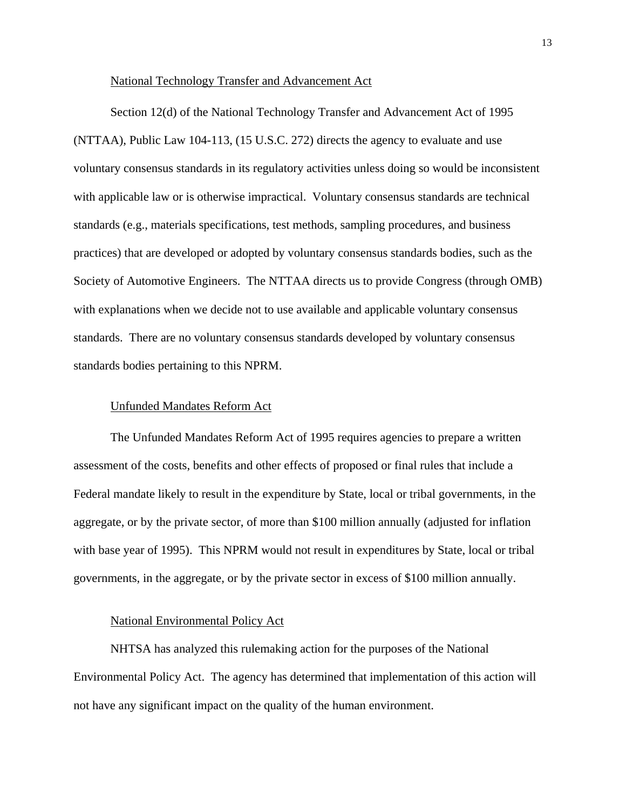# National Technology Transfer and Advancement Act

Section 12(d) of the National Technology Transfer and Advancement Act of 1995 (NTTAA), Public Law 104-113, (15 U.S.C. 272) directs the agency to evaluate and use voluntary consensus standards in its regulatory activities unless doing so would be inconsistent with applicable law or is otherwise impractical. Voluntary consensus standards are technical standards (e.g., materials specifications, test methods, sampling procedures, and business practices) that are developed or adopted by voluntary consensus standards bodies, such as the Society of Automotive Engineers. The NTTAA directs us to provide Congress (through OMB) with explanations when we decide not to use available and applicable voluntary consensus standards. There are no voluntary consensus standards developed by voluntary consensus standards bodies pertaining to this NPRM.

# Unfunded Mandates Reform Act

The Unfunded Mandates Reform Act of 1995 requires agencies to prepare a written assessment of the costs, benefits and other effects of proposed or final rules that include a Federal mandate likely to result in the expenditure by State, local or tribal governments, in the aggregate, or by the private sector, of more than \$100 million annually (adjusted for inflation with base year of 1995). This NPRM would not result in expenditures by State, local or tribal governments, in the aggregate, or by the private sector in excess of \$100 million annually.

# National Environmental Policy Act

NHTSA has analyzed this rulemaking action for the purposes of the National Environmental Policy Act. The agency has determined that implementation of this action will not have any significant impact on the quality of the human environment.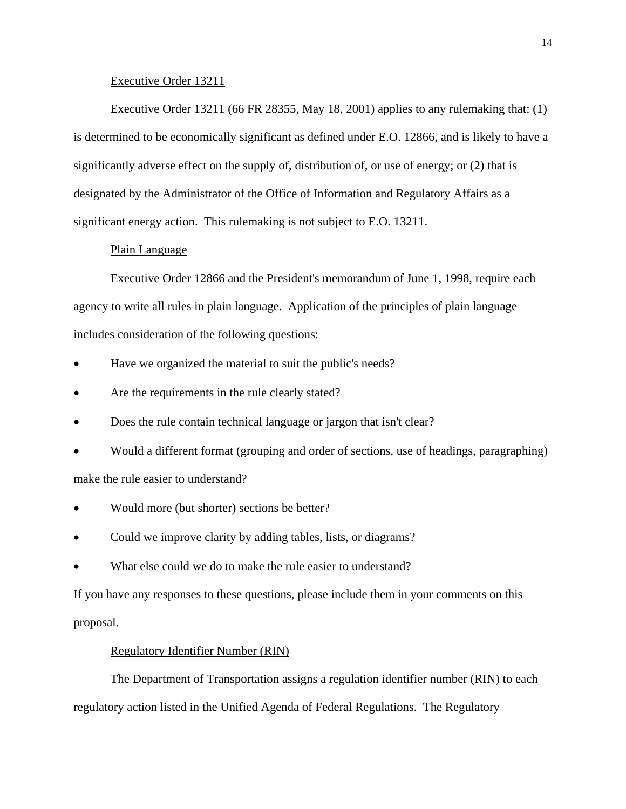# Executive Order 13211

Executive Order 13211 (66 FR 28355, May 18, 2001) applies to any rulemaking that: (1) is determined to be economically significant as defined under E.O. 12866, and is likely to have a significantly adverse effect on the supply of, distribution of, or use of energy; or (2) that is designated by the Administrator of the Office of Information and Regulatory Affairs as a significant energy action. This rulemaking is not subject to E.O. 13211.

# Plain Language

Executive Order 12866 and the President's memorandum of June 1, 1998, require each agency to write all rules in plain language. Application of the principles of plain language includes consideration of the following questions:

- Have we organized the material to suit the public's needs?
- Are the requirements in the rule clearly stated?
- Does the rule contain technical language or jargon that isn't clear?
- Would a different format (grouping and order of sections, use of headings, paragraphing) make the rule easier to understand?
- Would more (but shorter) sections be better?
- Could we improve clarity by adding tables, lists, or diagrams?
- What else could we do to make the rule easier to understand?

If you have any responses to these questions, please include them in your comments on this proposal.

# Regulatory Identifier Number (RIN)

The Department of Transportation assigns a regulation identifier number (RIN) to each regulatory action listed in the Unified Agenda of Federal Regulations. The Regulatory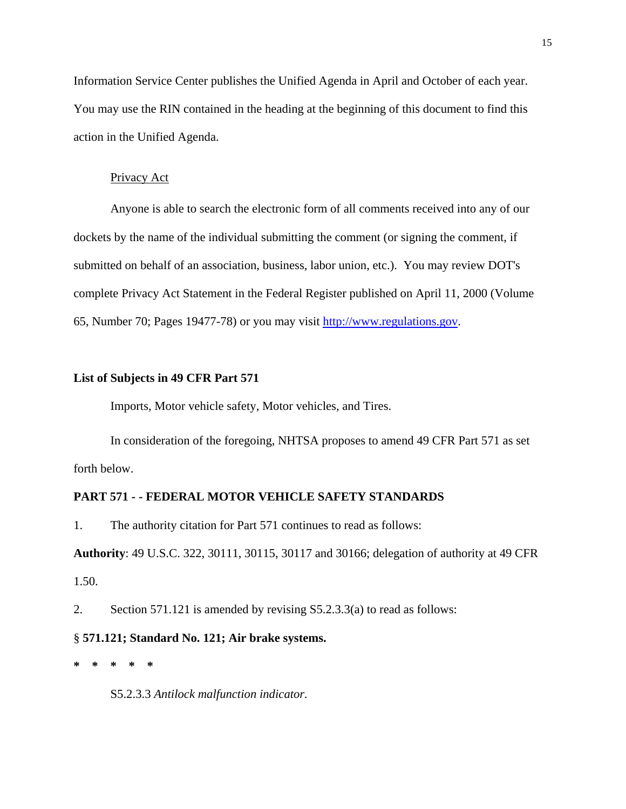Information Service Center publishes the Unified Agenda in April and October of each year. You may use the RIN contained in the heading at the beginning of this document to find this action in the Unified Agenda.

#### Privacy Act

Anyone is able to search the electronic form of all comments received into any of our dockets by the name of the individual submitting the comment (or signing the comment, if submitted on behalf of an association, business, labor union, etc.). You may review DOT's complete Privacy Act Statement in the Federal Register published on April 11, 2000 (Volume 65, Number 70; Pages 19477-78) or you may visit http://www.regulations.gov.

# **List of Subjects in 49 CFR Part 571**

Imports, Motor vehicle safety, Motor vehicles, and Tires.

In consideration of the foregoing, NHTSA proposes to amend 49 CFR Part 571 as set forth below.

# **PART 571 - - FEDERAL MOTOR VEHICLE SAFETY STANDARDS**

1. The authority citation for Part 571 continues to read as follows:

**Authority**: 49 U.S.C. 322, 30111, 30115, 30117 and 30166; delegation of authority at 49 CFR 1.50.

2. Section 571.121 is amended by revising S5.2.3.3(a) to read as follows:

# § **571.121; Standard No. 121; Air brake systems.**

**\* \* \* \* \*** 

S5.2.3.3 *Antilock malfunction indicator.*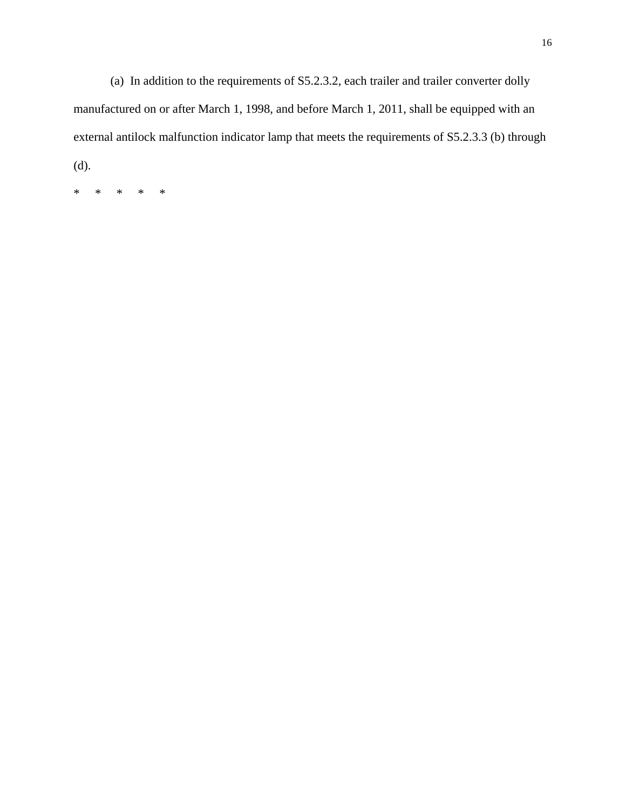(a) In addition to the requirements of S5.2.3.2, each trailer and trailer converter dolly manufactured on or after March 1, 1998, and before March 1, 2011, shall be equipped with an external antilock malfunction indicator lamp that meets the requirements of S5.2.3.3 (b) through (d).

\* \* \* \* \*